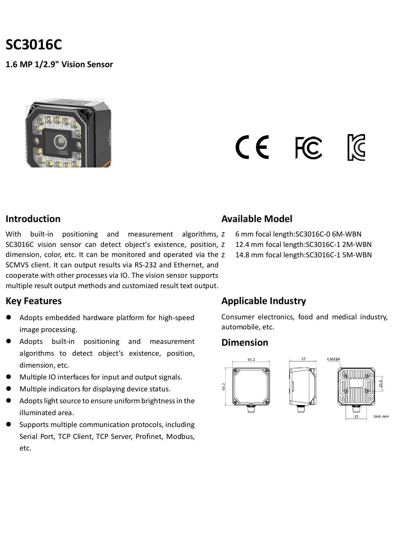# **SC3016C**

**1.6 MP 1/2.9" Vision Sensor**

# CE FC

#### **Introduction**

With built-in positioning and measurement algorithms, z SC3016C vision sensor can detect object's existence, position, dimension, color, etc. It can be monitored and operated via the SCMVS client. It can output results via RS-232 and Ethernet, and cooperate with other processes via IO. The vision sensor supports multiple result output methods and customized result text output.

#### **Key Features**

- Adopts embedded hardware platform for high-speed image processing.
- Adopts built-in positioning and measurement algorithms to detect object's existence, position, dimension, etc.
- Multiple IO interfaces for input and output signals.
- Multiple indicators for displaying device status.
- Adopts light source to ensure uniform brightness in the illuminated area.
- Supports multiple communication protocols, including Serial Port, TCP Client, TCP Server, Profinet, Modbus, etc.

#### **Available Model**

**z** 6 mm focal length: SC3016C-06M-WBN 12.4 mm focal length: SC3016C-12M-WBN 14.8 mm focal length: SC3016C-15M-WBN

#### **Applicable Industry**

Consumer electronics, food and medical industry, automobile, etc.

#### **Dimension**

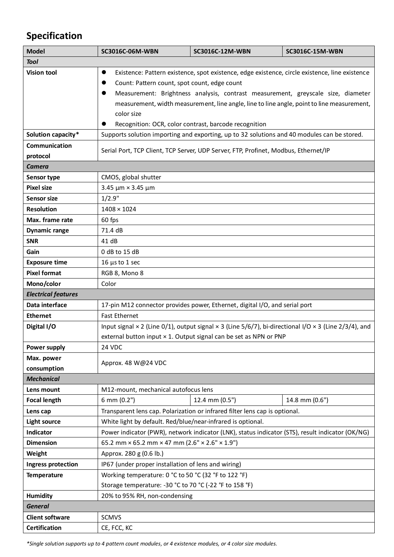## **Specification**

| <b>Model</b>               | SC3016C-06M-WBN                                                                                                            | SC3016C-12M-WBN                                                   | <b>SC3016C-15M-WBN</b> |  |
|----------------------------|----------------------------------------------------------------------------------------------------------------------------|-------------------------------------------------------------------|------------------------|--|
| <b>Tool</b>                |                                                                                                                            |                                                                   |                        |  |
| <b>Vision tool</b>         | Existence: Pattern existence, spot existence, edge existence, circle existence, line existence<br>$\bullet$                |                                                                   |                        |  |
|                            | Count: Pattern count, spot count, edge count                                                                               |                                                                   |                        |  |
|                            | Measurement: Brightness analysis, contrast measurement, greyscale size, diameter                                           |                                                                   |                        |  |
|                            | measurement, width measurement, line angle, line to line angle, point to line measurement,                                 |                                                                   |                        |  |
|                            | color size                                                                                                                 |                                                                   |                        |  |
|                            |                                                                                                                            | Recognition: OCR, color contrast, barcode recognition             |                        |  |
| Solution capacity*         | Supports solution importing and exporting, up to 32 solutions and 40 modules can be stored.                                |                                                                   |                        |  |
| Communication              | Serial Port, TCP Client, TCP Server, UDP Server, FTP, Profinet, Modbus, Ethernet/IP                                        |                                                                   |                        |  |
| protocol                   |                                                                                                                            |                                                                   |                        |  |
| <b>Camera</b>              |                                                                                                                            |                                                                   |                        |  |
| Sensor type                | CMOS, global shutter                                                                                                       |                                                                   |                        |  |
| <b>Pixel size</b>          | 3.45 $\mu$ m × 3.45 $\mu$ m                                                                                                |                                                                   |                        |  |
| <b>Sensor size</b>         | 1/2.9"                                                                                                                     |                                                                   |                        |  |
| <b>Resolution</b>          | $1408 \times 1024$                                                                                                         |                                                                   |                        |  |
| Max. frame rate            | 60 fps                                                                                                                     |                                                                   |                        |  |
| <b>Dynamic range</b>       | 71.4 dB                                                                                                                    |                                                                   |                        |  |
| <b>SNR</b>                 | 41 dB                                                                                                                      |                                                                   |                        |  |
| Gain                       | 0 dB to 15 dB                                                                                                              |                                                                   |                        |  |
| <b>Exposure time</b>       | $16 \mu s$ to 1 sec                                                                                                        |                                                                   |                        |  |
| <b>Pixel format</b>        | RGB 8, Mono 8                                                                                                              |                                                                   |                        |  |
| Mono/color                 | Color                                                                                                                      |                                                                   |                        |  |
| <b>Electrical features</b> |                                                                                                                            |                                                                   |                        |  |
| Data interface             | 17-pin M12 connector provides power, Ethernet, digital I/O, and serial port                                                |                                                                   |                        |  |
| <b>Ethernet</b>            | <b>Fast Ethernet</b>                                                                                                       |                                                                   |                        |  |
| Digital I/O                | Input signal $\times$ 2 (Line 0/1), output signal $\times$ 3 (Line 5/6/7), bi-directional I/O $\times$ 3 (Line 2/3/4), and |                                                                   |                        |  |
|                            |                                                                                                                            | external button input × 1. Output signal can be set as NPN or PNP |                        |  |
| <b>Power supply</b>        | 24 VDC                                                                                                                     |                                                                   |                        |  |
| Max. power                 | Approx. 48 W@24 VDC                                                                                                        |                                                                   |                        |  |
| consumption                |                                                                                                                            |                                                                   |                        |  |
| <b>Mechanical</b>          |                                                                                                                            |                                                                   |                        |  |
| Lens mount                 | M12-mount, mechanical autofocus lens                                                                                       |                                                                   |                        |  |
| <b>Focal length</b>        | 6 mm (0.2")                                                                                                                | 12.4 mm (0.5")                                                    | 14.8 mm (0.6")         |  |
| Lens cap                   | Transparent lens cap. Polarization or infrared filter lens cap is optional.                                                |                                                                   |                        |  |
| <b>Light source</b>        | White light by default. Red/blue/near-infrared is optional.                                                                |                                                                   |                        |  |
| Indicator                  | Power indicator (PWR), network indicator (LNK), status indicator (STS), result indicator (OK/NG)                           |                                                                   |                        |  |
| <b>Dimension</b>           | 65.2 mm $\times$ 65.2 mm $\times$ 47 mm (2.6" $\times$ 2.6" $\times$ 1.9")                                                 |                                                                   |                        |  |
| Weight                     | Approx. 280 g (0.6 lb.)                                                                                                    |                                                                   |                        |  |
| <b>Ingress protection</b>  | IP67 (under proper installation of lens and wiring)                                                                        |                                                                   |                        |  |
| <b>Temperature</b>         | Working temperature: 0 °C to 50 °C (32 °F to 122 °F)                                                                       |                                                                   |                        |  |
|                            | Storage temperature: -30 °C to 70 °C (-22 °F to 158 °F)                                                                    |                                                                   |                        |  |
| <b>Humidity</b>            | 20% to 95% RH, non-condensing                                                                                              |                                                                   |                        |  |
| <b>General</b>             |                                                                                                                            |                                                                   |                        |  |
| <b>Client software</b>     | <b>SCMVS</b>                                                                                                               |                                                                   |                        |  |
| <b>Certification</b>       | CE, FCC, KC                                                                                                                |                                                                   |                        |  |

*\*Single solution supports up to 4 pattern count modules, or 4 existence modules, or 4 color size modules.*